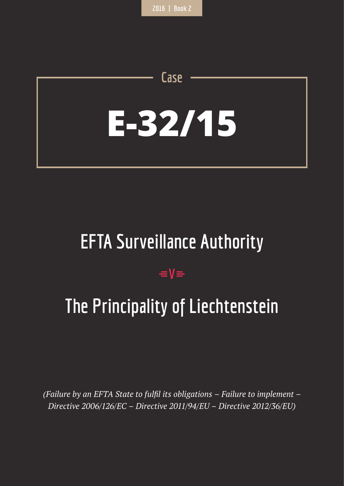# **E-32/15**

**Case**

## **EFTA Surveillance Authority**

## $=$ **V** $=$

# **The Principality of Liechtenstein**

*(Failure by an EFTA State to fulfil its obligations – Failure to implement – Directive 2006/126/EC – Directive 2011/94/EU – Directive 2012/36/EU)*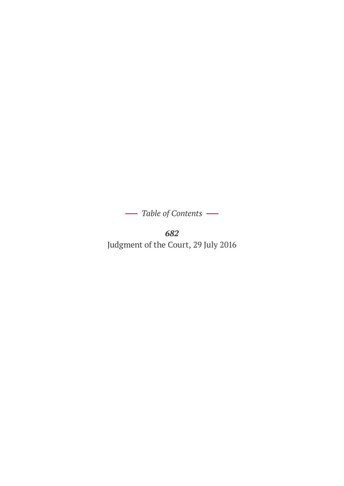*Table of Contents* 

*682* Judgment of the Court, 29 July 2016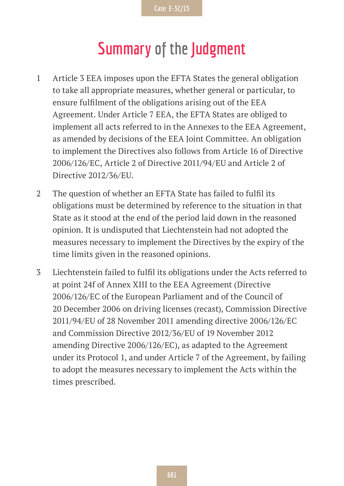## **Summary of the Judgment**

- 1 Article 3 EEA imposes upon the EFTA States the general obligation to take all appropriate measures, whether general or particular, to ensure fulfilment of the obligations arising out of the EEA Agreement. Under Article 7 EEA, the EFTA States are obliged to implement all acts referred to in the Annexes to the EEA Agreement, as amended by decisions of the EEA Joint Committee. An obligation to implement the Directives also follows from Article 16 of Directive 2006/126/EC, Article 2 of Directive 2011/94/EU and Article 2 of Directive 2012/36/EU.
- 2 The question of whether an EFTA State has failed to fulfil its obligations must be determined by reference to the situation in that State as it stood at the end of the period laid down in the reasoned opinion. It is undisputed that Liechtenstein had not adopted the measures necessary to implement the Directives by the expiry of the time limits given in the reasoned opinions.
- 3 Liechtenstein failed to fulfil its obligations under the Acts referred to at point 24f of Annex XIII to the EEA Agreement (Directive 2006/126/EC of the European Parliament and of the Council of 20 December 2006 on driving licenses (recast), Commission Directive 2011/94/EU of 28 November 2011 amending directive 2006/126/EC and Commission Directive 2012/36/EU of 19 November 2012 amending Directive 2006/126/EC), as adapted to the Agreement under its Protocol 1, and under Article 7 of the Agreement, by failing to adopt the measures necessary to implement the Acts within the times prescribed.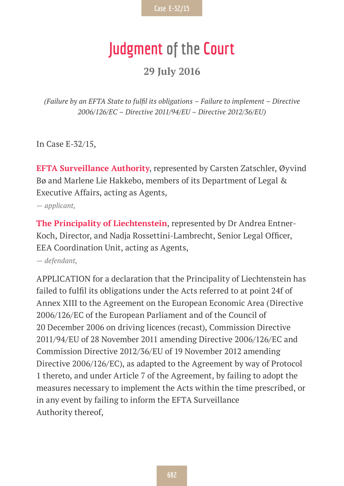## **Judgment of the Court**

**29 July 2016**

*(Failure by an EFTA State to fulfil its obligations – Failure to implement – Directive 2006/126/EC – Directive 2011/94/EU – Directive 2012/36/EU)*

In Case E-32/15,

**EFTA Surveillance Authority**, represented by Carsten Zatschler, Øyvind Bø and Marlene Lie Hakkebo, members of its Department of Legal & Executive Affairs, acting as Agents,

*— applicant,*

**The Principality of Liechtenstein**, represented by Dr Andrea Entner-Koch, Director, and Nadja Rossettini-Lambrecht, Senior Legal Officer, EEA Coordination Unit, acting as Agents,

*— defendant,*

APPLICATION for a declaration that the Principality of Liechtenstein has failed to fulfil its obligations under the Acts referred to at point 24f of Annex XIII to the Agreement on the European Economic Area (Directive 2006/126/EC of the European Parliament and of the Council of 20 December 2006 on driving licences (recast), Commission Directive 2011/94/EU of 28 November 2011 amending Directive 2006/126/EC and Commission Directive 2012/36/EU of 19 November 2012 amending Directive 2006/126/EC), as adapted to the Agreement by way of Protocol 1 thereto, and under Article 7 of the Agreement, by failing to adopt the measures necessary to implement the Acts within the time prescribed, or in any event by failing to inform the EFTA Surveillance Authority thereof,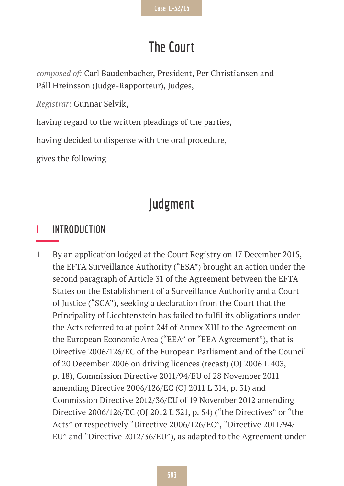## **The Court**

*composed of:* Carl Baudenbacher, President, Per Christiansen and Páll Hreinsson (Judge-Rapporteur), Judges,

*Registrar:* Gunnar Selvik,

having regard to the written pleadings of the parties,

having decided to dispense with the oral procedure,

gives the following

## **Judgment**

#### **I INTRODUCTION**

1 By an application lodged at the Court Registry on 17 December 2015, the EFTA Surveillance Authority ("ESA") brought an action under the second paragraph of Article 31 of the Agreement between the EFTA States on the Establishment of a Surveillance Authority and a Court of Justice ("SCA"), seeking a declaration from the Court that the Principality of Liechtenstein has failed to fulfil its obligations under the Acts referred to at point 24f of Annex XIII to the Agreement on the European Economic Area ("EEA" or "EEA Agreement"), that is Directive 2006/126/EC of the European Parliament and of the Council of 20 December 2006 on driving licences (recast) (OJ 2006 L 403, p. 18), Commission Directive 2011/94/EU of 28 November 2011 amending Directive 2006/126/EC (OJ 2011 L 314, p. 31) and Commission Directive 2012/36/EU of 19 November 2012 amending Directive 2006/126/EC (OJ 2012 L 321, p. 54) ("the Directives" or "the Acts" or respectively "Directive 2006/126/EC", "Directive 2011/94/ EU" and "Directive 2012/36/EU"), as adapted to the Agreement under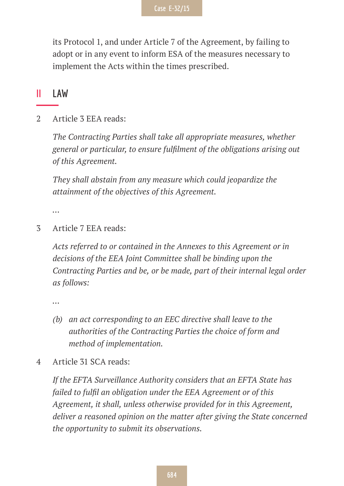its Protocol 1, and under Article 7 of the Agreement, by failing to adopt or in any event to inform ESA of the measures necessary to implement the Acts within the times prescribed.

#### **II LAW**

2 Article 3 EEA reads:

*The Contracting Parties shall take all appropriate measures, whether general or particular, to ensure fulfilment of the obligations arising out of this Agreement.*

*They shall abstain from any measure which could jeopardize the attainment of the objectives of this Agreement.*

*…*

3 Article 7 EEA reads:

*Acts referred to or contained in the Annexes to this Agreement or in decisions of the EEA Joint Committee shall be binding upon the Contracting Parties and be, or be made, part of their internal legal order as follows:*

*…*

- *(b) an act corresponding to an EEC directive shall leave to the authorities of the Contracting Parties the choice of form and method of implementation.*
- 4 Article 31 SCA reads:

*If the EFTA Surveillance Authority considers that an EFTA State has failed to fulfil an obligation under the EEA Agreement or of this Agreement, it shall, unless otherwise provided for in this Agreement, deliver a reasoned opinion on the matter after giving the State concerned the opportunity to submit its observations.*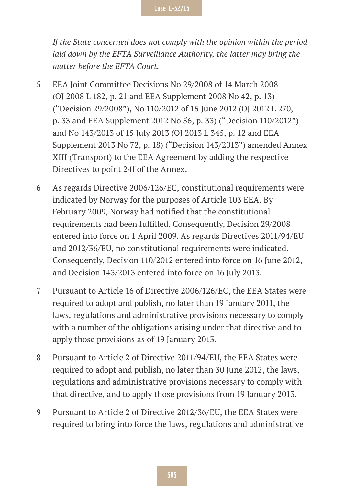*If the State concerned does not comply with the opinion within the period laid down by the EFTA Surveillance Authority, the latter may bring the matter before the EFTA Court.*

- 5 EEA Joint Committee Decisions No 29/2008 of 14 March 2008 (OJ 2008 L 182, p. 21 and EEA Supplement 2008 No 42, p. 13) ("Decision 29/2008"), No 110/2012 of 15 June 2012 (OJ 2012 L 270, p. 33 and EEA Supplement 2012 No 56, p. 33) ("Decision 110/2012") and No 143/2013 of 15 July 2013 (OJ 2013 L 345, p. 12 and EEA Supplement 2013 No 72, p. 18) ("Decision 143/2013") amended Annex XIII (Transport) to the EEA Agreement by adding the respective Directives to point 24f of the Annex.
- 6 As regards Directive 2006/126/EC, constitutional requirements were indicated by Norway for the purposes of Article 103 EEA. By February 2009, Norway had notified that the constitutional requirements had been fulfilled. Consequently, Decision 29/2008 entered into force on 1 April 2009. As regards Directives 2011/94/EU and 2012/36/EU, no constitutional requirements were indicated. Consequently, Decision 110/2012 entered into force on 16 June 2012, and Decision 143/2013 entered into force on 16 July 2013.
- 7 Pursuant to Article 16 of Directive 2006/126/EC, the EEA States were required to adopt and publish, no later than 19 January 2011, the laws, regulations and administrative provisions necessary to comply with a number of the obligations arising under that directive and to apply those provisions as of 19 January 2013.
- 8 Pursuant to Article 2 of Directive 2011/94/EU, the EEA States were required to adopt and publish, no later than 30 June 2012, the laws, regulations and administrative provisions necessary to comply with that directive, and to apply those provisions from 19 January 2013.
- 9 Pursuant to Article 2 of Directive 2012/36/EU, the EEA States were required to bring into force the laws, regulations and administrative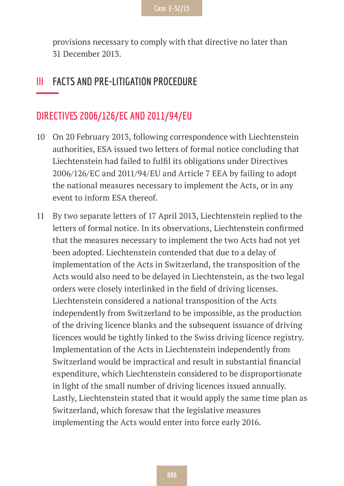provisions necessary to comply with that directive no later than 31 December 2013.

#### **III FACTS AND PRE-LITIGATION PROCEDURE**

#### **DIRECTIVES 2006/126/EC AND 2011/94/EU**

- 10 On 20 February 2013, following correspondence with Liechtenstein authorities, ESA issued two letters of formal notice concluding that Liechtenstein had failed to fulfil its obligations under Directives 2006/126/EC and 2011/94/EU and Article 7 EEA by failing to adopt the national measures necessary to implement the Acts, or in any event to inform ESA thereof.
- 11 By two separate letters of 17 April 2013, Liechtenstein replied to the letters of formal notice. In its observations, Liechtenstein confirmed that the measures necessary to implement the two Acts had not yet been adopted. Liechtenstein contended that due to a delay of implementation of the Acts in Switzerland, the transposition of the Acts would also need to be delayed in Liechtenstein, as the two legal orders were closely interlinked in the field of driving licenses. Liechtenstein considered a national transposition of the Acts independently from Switzerland to be impossible, as the production of the driving licence blanks and the subsequent issuance of driving licences would be tightly linked to the Swiss driving licence registry. Implementation of the Acts in Liechtenstein independently from Switzerland would be impractical and result in substantial financial expenditure, which Liechtenstein considered to be disproportionate in light of the small number of driving licences issued annually. Lastly, Liechtenstein stated that it would apply the same time plan as Switzerland, which foresaw that the legislative measures implementing the Acts would enter into force early 2016.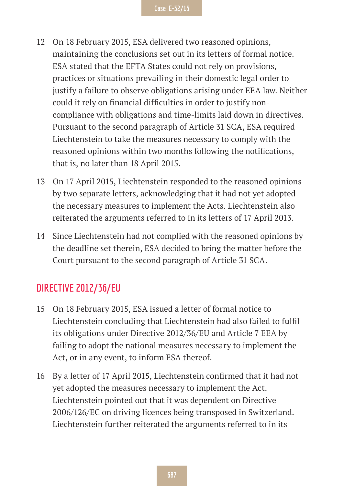- 12 On 18 February 2015, ESA delivered two reasoned opinions, maintaining the conclusions set out in its letters of formal notice. ESA stated that the EFTA States could not rely on provisions, practices or situations prevailing in their domestic legal order to justify a failure to observe obligations arising under EEA law. Neither could it rely on financial difficulties in order to justify noncompliance with obligations and time-limits laid down in directives. Pursuant to the second paragraph of Article 31 SCA, ESA required Liechtenstein to take the measures necessary to comply with the reasoned opinions within two months following the notifications, that is, no later than 18 April 2015.
- 13 On 17 April 2015, Liechtenstein responded to the reasoned opinions by two separate letters, acknowledging that it had not yet adopted the necessary measures to implement the Acts. Liechtenstein also reiterated the arguments referred to in its letters of 17 April 2013.
- 14 Since Liechtenstein had not complied with the reasoned opinions by the deadline set therein, ESA decided to bring the matter before the Court pursuant to the second paragraph of Article 31 SCA.

#### **DIRECTIVE 2012/36/EU**

- 15 On 18 February 2015, ESA issued a letter of formal notice to Liechtenstein concluding that Liechtenstein had also failed to fulfil its obligations under Directive 2012/36/EU and Article 7 EEA by failing to adopt the national measures necessary to implement the Act, or in any event, to inform ESA thereof.
- 16 By a letter of 17 April 2015, Liechtenstein confirmed that it had not yet adopted the measures necessary to implement the Act. Liechtenstein pointed out that it was dependent on Directive 2006/126/EC on driving licences being transposed in Switzerland. Liechtenstein further reiterated the arguments referred to in its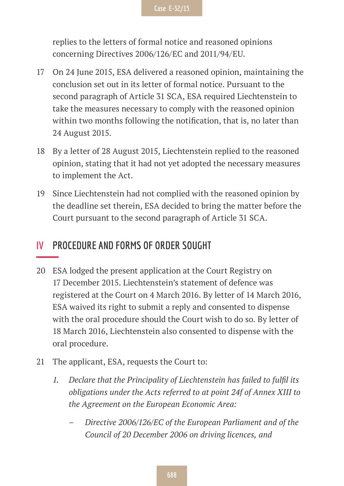replies to the letters of formal notice and reasoned opinions concerning Directives 2006/126/EC and 2011/94/EU.

- 17 On 24 June 2015, ESA delivered a reasoned opinion, maintaining the conclusion set out in its letter of formal notice. Pursuant to the second paragraph of Article 31 SCA, ESA required Liechtenstein to take the measures necessary to comply with the reasoned opinion within two months following the notification, that is, no later than 24 August 2015.
- 18 By a letter of 28 August 2015, Liechtenstein replied to the reasoned opinion, stating that it had not yet adopted the necessary measures to implement the Act.
- 19 Since Liechtenstein had not complied with the reasoned opinion by the deadline set therein, ESA decided to bring the matter before the Court pursuant to the second paragraph of Article 31 SCA.

#### **IV PROCEDURE AND FORMS OF ORDER SOUGHT**

- 20 ESA lodged the present application at the Court Registry on 17 December 2015. Liechtenstein's statement of defence was registered at the Court on 4 March 2016. By letter of 14 March 2016, ESA waived its right to submit a reply and consented to dispense with the oral procedure should the Court wish to do so. By letter of 18 March 2016, Liechtenstein also consented to dispense with the oral procedure.
- 21 The applicant, ESA, requests the Court to:
	- *1. Declare that the Principality of Liechtenstein has failed to fulfil its obligations under the Acts referred to at point 24f of Annex XIII to the Agreement on the European Economic Area:*
		- *– Directive 2006/126/EC of the European Parliament and of the Council of 20 December 2006 on driving licences, and*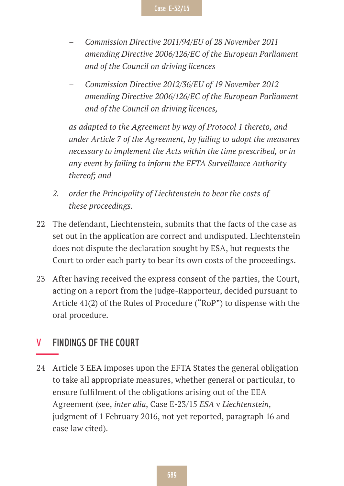- *– Commission Directive 2011/94/EU of 28 November 2011 amending Directive 2006/126/EC of the European Parliament and of the Council on driving licences*
- *– Commission Directive 2012/36/EU of 19 November 2012 amending Directive 2006/126/EC of the European Parliament and of the Council on driving licences,*

*as adapted to the Agreement by way of Protocol 1 thereto, and under Article 7 of the Agreement, by failing to adopt the measures necessary to implement the Acts within the time prescribed, or in any event by failing to inform the EFTA Surveillance Authority thereof; and*

- *2. order the Principality of Liechtenstein to bear the costs of these proceedings.*
- 22 The defendant, Liechtenstein, submits that the facts of the case as set out in the application are correct and undisputed. Liechtenstein does not dispute the declaration sought by ESA, but requests the Court to order each party to bear its own costs of the proceedings.
- 23 After having received the express consent of the parties, the Court, acting on a report from the Judge-Rapporteur, decided pursuant to Article 41(2) of the Rules of Procedure ("RoP") to dispense with the oral procedure.

#### **V FINDINGS OF THE COURT**

24 Article 3 EEA imposes upon the EFTA States the general obligation to take all appropriate measures, whether general or particular, to ensure fulfilment of the obligations arising out of the EEA Agreement (see, *inter alia*, Case E-23/15 *ESA* v *Liechtenstein*, judgment of 1 February 2016, not yet reported, paragraph 16 and case law cited).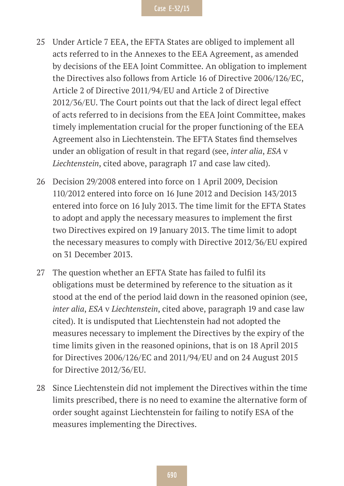- 25 Under Article 7 EEA, the EFTA States are obliged to implement all acts referred to in the Annexes to the EEA Agreement, as amended by decisions of the EEA Joint Committee. An obligation to implement the Directives also follows from Article 16 of Directive 2006/126/EC, Article 2 of Directive 2011/94/EU and Article 2 of Directive 2012/36/EU. The Court points out that the lack of direct legal effect of acts referred to in decisions from the EEA Joint Committee, makes timely implementation crucial for the proper functioning of the EEA Agreement also in Liechtenstein. The EFTA States find themselves under an obligation of result in that regard (see, *inter alia*, *ESA* v *Liechtenstein*, cited above, paragraph 17 and case law cited).
- 26 Decision 29/2008 entered into force on 1 April 2009, Decision 110/2012 entered into force on 16 June 2012 and Decision 143/2013 entered into force on 16 July 2013. The time limit for the EFTA States to adopt and apply the necessary measures to implement the first two Directives expired on 19 January 2013. The time limit to adopt the necessary measures to comply with Directive 2012/36/EU expired on 31 December 2013.
- 27 The question whether an EFTA State has failed to fulfil its obligations must be determined by reference to the situation as it stood at the end of the period laid down in the reasoned opinion (see, *inter alia*, *ESA* v *Liechtenstein*, cited above, paragraph 19 and case law cited). It is undisputed that Liechtenstein had not adopted the measures necessary to implement the Directives by the expiry of the time limits given in the reasoned opinions, that is on 18 April 2015 for Directives 2006/126/EC and 2011/94/EU and on 24 August 2015 for Directive 2012/36/EU.
- 28 Since Liechtenstein did not implement the Directives within the time limits prescribed, there is no need to examine the alternative form of order sought against Liechtenstein for failing to notify ESA of the measures implementing the Directives.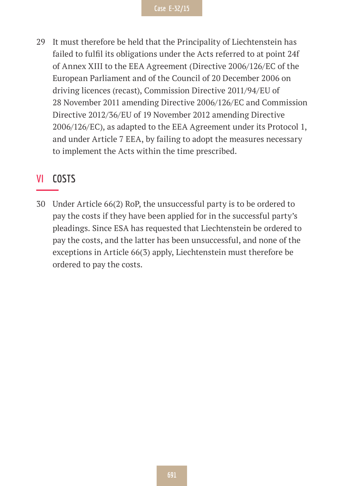29 It must therefore be held that the Principality of Liechtenstein has failed to fulfil its obligations under the Acts referred to at point 24f of Annex XIII to the EEA Agreement (Directive 2006/126/EC of the European Parliament and of the Council of 20 December 2006 on driving licences (recast), Commission Directive 2011/94/EU of 28 November 2011 amending Directive 2006/126/EC and Commission Directive 2012/36/EU of 19 November 2012 amending Directive 2006/126/EC), as adapted to the EEA Agreement under its Protocol 1, and under Article 7 EEA, by failing to adopt the measures necessary to implement the Acts within the time prescribed.

#### **VI COSTS**

30 Under Article 66(2) RoP, the unsuccessful party is to be ordered to pay the costs if they have been applied for in the successful party's pleadings. Since ESA has requested that Liechtenstein be ordered to pay the costs, and the latter has been unsuccessful, and none of the exceptions in Article 66(3) apply, Liechtenstein must therefore be ordered to pay the costs.